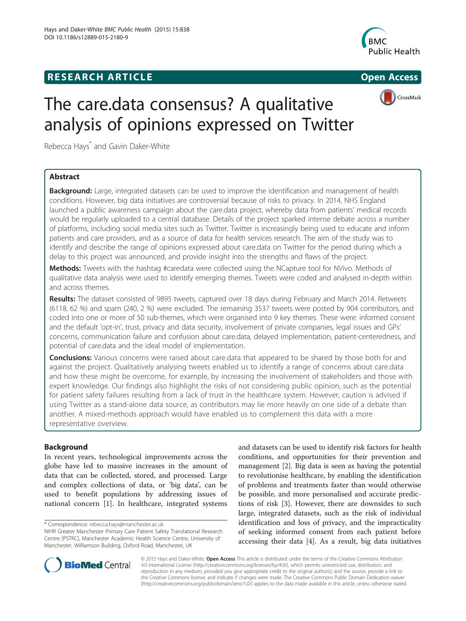# **RESEARCH ARTICLE Example 2008 CONSIDERING CONSIDERING CONSIDERING CONSIDERING CONSIDERING CONSIDERING CONSIDERING CONSIDERING CONSIDERING CONSIDERING CONSIDERING CONSIDERING CONSIDERING CONSIDERING CONSIDERING CONSIDE**





# The care.data consensus? A qualitative analysis of opinions expressed on Twitter

Rebecca Hays\* and Gavin Daker-White

## Abstract

**Background:** Large, integrated datasets can be used to improve the identification and management of health conditions. However, big data initiatives are controversial because of risks to privacy. In 2014, NHS England launched a public awareness campaign about the care.data project, whereby data from patients' medical records would be regularly uploaded to a central database. Details of the project sparked intense debate across a number of platforms, including social media sites such as Twitter. Twitter is increasingly being used to educate and inform patients and care providers, and as a source of data for health services research. The aim of the study was to identify and describe the range of opinions expressed about care.data on Twitter for the period during which a delay to this project was announced, and provide insight into the strengths and flaws of the project.

Methods: Tweets with the hashtag #caredata were collected using the NCapture tool for NVivo. Methods of qualitative data analysis were used to identify emerging themes. Tweets were coded and analysed in-depth within and across themes.

Results: The dataset consisted of 9895 tweets, captured over 18 days during February and March 2014. Retweets (6118, 62 %) and spam (240, 2 %) were excluded. The remaining 3537 tweets were posted by 904 contributors, and coded into one or more of 50 sub-themes, which were organised into 9 key themes. These were: informed consent and the default 'opt-in', trust, privacy and data security, involvement of private companies, legal issues and GPs' concerns, communication failure and confusion about care.data, delayed implementation, patient-centeredness, and potential of care.data and the ideal model of implementation.

**Conclusions:** Various concerns were raised about care.data that appeared to be shared by those both for and against the project. Qualitatively analysing tweets enabled us to identify a range of concerns about care.data and how these might be overcome, for example, by increasing the involvement of stakeholders and those with expert knowledge. Our findings also highlight the risks of not considering public opinion, such as the potential for patient safety failures resulting from a lack of trust in the healthcare system. However, caution is advised if using Twitter as a stand-alone data source, as contributors may lie more heavily on one side of a debate than another. A mixed-methods approach would have enabled us to complement this data with a more representative overview.

## Background

In recent years, technological improvements across the globe have led to massive increases in the amount of data that can be collected, stored, and processed. Large and complex collections of data, or 'big data', can be used to benefit populations by addressing issues of national concern [\[1](#page-11-0)]. In healthcare, integrated systems

and datasets can be used to identify risk factors for health conditions, and opportunities for their prevention and management [[2\]](#page-11-0). Big data is seen as having the potential to revolutionise healthcare, by enabling the identification of problems and treatments faster than would otherwise be possible, and more personalised and accurate predictions of risk [\[3\]](#page-11-0). However, there are downsides to such large, integrated datasets, such as the risk of individual identification and loss of privacy, and the impracticality of seeking informed consent from each patient before accessing their data [\[4](#page-11-0)]. As a result, big data initiatives



© 2015 Hays and Daker-White. Open Access This article is distributed under the terms of the Creative Commons Attribution 4.0 International License ([http://creativecommons.org/licenses/by/4.0/\)](http://creativecommons.org/licenses/by/4.0/), which permits unrestricted use, distribution, and reproduction in any medium, provided you give appropriate credit to the original author(s) and the source, provide a link to the Creative Commons license, and indicate if changes were made. The Creative Commons Public Domain Dedication waiver [\(http://creativecommons.org/publicdomain/zero/1.0/](http://creativecommons.org/publicdomain/zero/1.0/)) applies to the data made available in this article, unless otherwise stated.

<sup>\*</sup> Correspondence: [rebecca.hays@manchester.ac.uk](mailto:rebecca.hays@manchester.ac.uk)

NIHR Greater Manchester Primary Care Patient Safety Translational Research Centre (PSTRC), Manchester Academic Health Science Centre, University of Manchester, Williamson Building, Oxford Road, Manchester, UK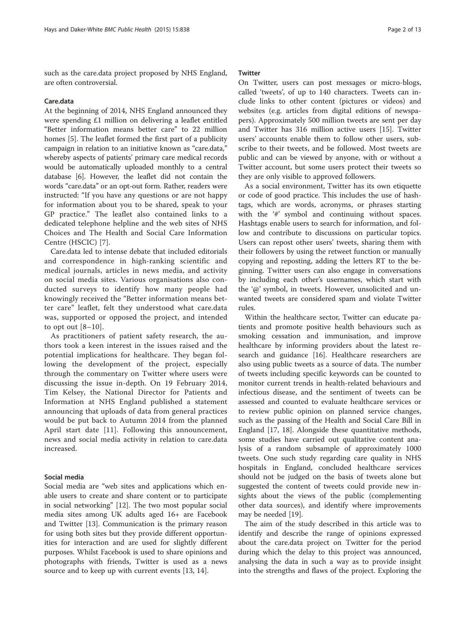such as the care.data project proposed by NHS England, are often controversial.

#### Care.data

At the beginning of 2014, NHS England announced they were spending £1 million on delivering a leaflet entitled "Better information means better care" to 22 million homes [[5\]](#page-11-0). The leaflet formed the first part of a publicity campaign in relation to an initiative known as "care.data," whereby aspects of patients' primary care medical records would be automatically uploaded monthly to a central database [[6](#page-11-0)]. However, the leaflet did not contain the words "care.data" or an opt-out form. Rather, readers were instructed: "If you have any questions or are not happy for information about you to be shared, speak to your GP practice." The leaflet also contained links to a dedicated telephone helpline and the web sites of NHS Choices and The Health and Social Care Information Centre (HSCIC) [\[7](#page-11-0)].

Care.data led to intense debate that included editorials and correspondence in high-ranking scientific and medical journals, articles in news media, and activity on social media sites. Various organisations also conducted surveys to identify how many people had knowingly received the "Better information means better care" leaflet, felt they understood what care.data was, supported or opposed the project, and intended to opt out  $[8-10]$  $[8-10]$  $[8-10]$  $[8-10]$  $[8-10]$ .

As practitioners of patient safety research, the authors took a keen interest in the issues raised and the potential implications for healthcare. They began following the development of the project, especially through the commentary on Twitter where users were discussing the issue in-depth. On 19 February 2014, Tim Kelsey, the National Director for Patients and Information at NHS England published a statement announcing that uploads of data from general practices would be put back to Autumn 2014 from the planned April start date [[11\]](#page-11-0). Following this announcement, news and social media activity in relation to care.data increased.

#### Social media

Social media are "web sites and applications which enable users to create and share content or to participate in social networking" [\[12](#page-11-0)]. The two most popular social media sites among UK adults aged 16+ are Facebook and Twitter [[13](#page-11-0)]. Communication is the primary reason for using both sites but they provide different opportunities for interaction and are used for slightly different purposes. Whilst Facebook is used to share opinions and photographs with friends, Twitter is used as a news source and to keep up with current events [[13, 14](#page-11-0)].

#### **Twitter**

On Twitter, users can post messages or micro-blogs, called 'tweets', of up to 140 characters. Tweets can include links to other content (pictures or videos) and websites (e.g. articles from digital editions of newspapers). Approximately 500 million tweets are sent per day and Twitter has 316 million active users [\[15](#page-11-0)]. Twitter users' accounts enable them to follow other users, subscribe to their tweets, and be followed. Most tweets are public and can be viewed by anyone, with or without a Twitter account, but some users protect their tweets so they are only visible to approved followers.

As a social environment, Twitter has its own etiquette or code of good practice. This includes the use of hashtags, which are words, acronyms, or phrases starting with the '#' symbol and continuing without spaces. Hashtags enable users to search for information, and follow and contribute to discussions on particular topics. Users can repost other users' tweets, sharing them with their followers by using the retweet function or manually copying and reposting, adding the letters RT to the beginning. Twitter users can also engage in conversations by including each other's usernames, which start with the '@' symbol, in tweets. However, unsolicited and unwanted tweets are considered spam and violate Twitter rules.

Within the healthcare sector, Twitter can educate patients and promote positive health behaviours such as smoking cessation and immunisation, and improve healthcare by informing providers about the latest research and guidance [\[16\]](#page-11-0). Healthcare researchers are also using public tweets as a source of data. The number of tweets including specific keywords can be counted to monitor current trends in health-related behaviours and infectious disease, and the sentiment of tweets can be assessed and counted to evaluate healthcare services or to review public opinion on planned service changes, such as the passing of the Health and Social Care Bill in England [[17, 18](#page-11-0)]. Alongside these quantitative methods, some studies have carried out qualitative content analysis of a random subsample of approximately 1000 tweets. One such study regarding care quality in NHS hospitals in England, concluded healthcare services should not be judged on the basis of tweets alone but suggested the content of tweets could provide new insights about the views of the public (complementing other data sources), and identify where improvements may be needed [\[19](#page-11-0)].

The aim of the study described in this article was to identify and describe the range of opinions expressed about the care.data project on Twitter for the period during which the delay to this project was announced, analysing the data in such a way as to provide insight into the strengths and flaws of the project. Exploring the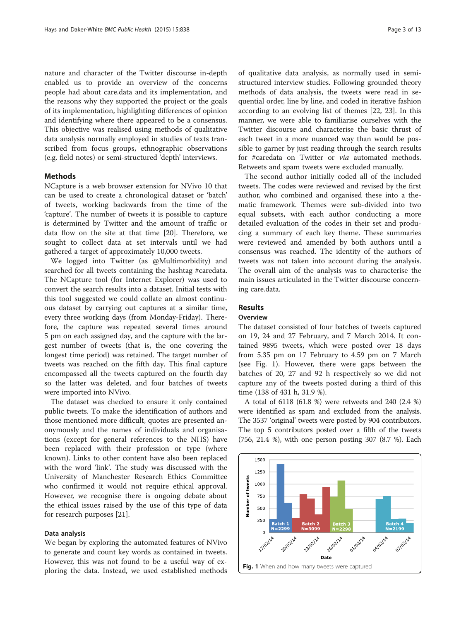nature and character of the Twitter discourse in-depth enabled us to provide an overview of the concerns people had about care.data and its implementation, and the reasons why they supported the project or the goals of its implementation, highlighting differences of opinion and identifying where there appeared to be a consensus. This objective was realised using methods of qualitative data analysis normally employed in studies of texts transcribed from focus groups, ethnographic observations (e.g. field notes) or semi-structured 'depth' interviews.

## Methods

NCapture is a web browser extension for NVivo 10 that can be used to create a chronological dataset or 'batch' of tweets, working backwards from the time of the 'capture'. The number of tweets it is possible to capture is determined by Twitter and the amount of traffic or data flow on the site at that time [\[20\]](#page-11-0). Therefore, we sought to collect data at set intervals until we had gathered a target of approximately 10,000 tweets.

We logged into Twitter (as @Multimorbidity) and searched for all tweets containing the hashtag #caredata. The NCapture tool (for Internet Explorer) was used to convert the search results into a dataset. Initial tests with this tool suggested we could collate an almost continuous dataset by carrying out captures at a similar time, every three working days (from Monday-Friday). Therefore, the capture was repeated several times around 5 pm on each assigned day, and the capture with the largest number of tweets (that is, the one covering the longest time period) was retained. The target number of tweets was reached on the fifth day. This final capture encompassed all the tweets captured on the fourth day so the latter was deleted, and four batches of tweets were imported into NVivo.

The dataset was checked to ensure it only contained public tweets. To make the identification of authors and those mentioned more difficult, quotes are presented anonymously and the names of individuals and organisations (except for general references to the NHS) have been replaced with their profession or type (where known). Links to other content have also been replaced with the word 'link'. The study was discussed with the University of Manchester Research Ethics Committee who confirmed it would not require ethical approval. However, we recognise there is ongoing debate about the ethical issues raised by the use of this type of data for research purposes [[21\]](#page-11-0).

#### Data analysis

We began by exploring the automated features of NVivo to generate and count key words as contained in tweets. However, this was not found to be a useful way of exploring the data. Instead, we used established methods of qualitative data analysis, as normally used in semistructured interview studies. Following grounded theory methods of data analysis, the tweets were read in sequential order, line by line, and coded in iterative fashion according to an evolving list of themes [\[22](#page-11-0), [23\]](#page-11-0). In this manner, we were able to familiarise ourselves with the Twitter discourse and characterise the basic thrust of each tweet in a more nuanced way than would be possible to garner by just reading through the search results for #caredata on Twitter or via automated methods. Retweets and spam tweets were excluded manually.

The second author initially coded all of the included tweets. The codes were reviewed and revised by the first author, who combined and organised these into a thematic framework. Themes were sub-divided into two equal subsets, with each author conducting a more detailed evaluation of the codes in their set and producing a summary of each key theme. These summaries were reviewed and amended by both authors until a consensus was reached. The identity of the authors of tweets was not taken into account during the analysis. The overall aim of the analysis was to characterise the main issues articulated in the Twitter discourse concerning care.data.

## Results

## **Overview**

The dataset consisted of four batches of tweets captured on 19, 24 and 27 February, and 7 March 2014. It contained 9895 tweets, which were posted over 18 days from 5.35 pm on 17 February to 4.59 pm on 7 March (see Fig. 1). However, there were gaps between the batches of 20, 27 and 92 h respectively so we did not capture any of the tweets posted during a third of this time (138 of 431 h, 31.9 %).

A total of 6118 (61.8 %) were retweets and 240 (2.4 %) were identified as spam and excluded from the analysis. The 3537 'original' tweets were posted by 904 contributors. The top 5 contributors posted over a fifth of the tweets (756, 21.4 %), with one person posting 307 (8.7 %). Each

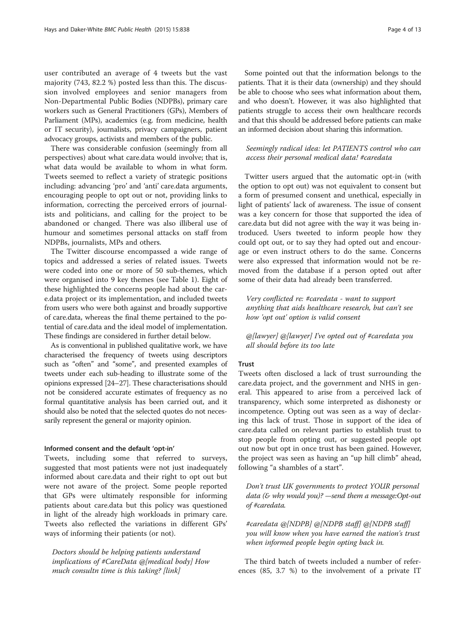user contributed an average of 4 tweets but the vast majority (743, 82.2 %) posted less than this. The discussion involved employees and senior managers from Non-Departmental Public Bodies (NDPBs), primary care workers such as General Practitioners (GPs), Members of Parliament (MPs), academics (e.g. from medicine, health or IT security), journalists, privacy campaigners, patient advocacy groups, activists and members of the public.

There was considerable confusion (seemingly from all perspectives) about what care.data would involve; that is, what data would be available to whom in what form. Tweets seemed to reflect a variety of strategic positions including: advancing 'pro' and 'anti' care.data arguments, encouraging people to opt out or not, providing links to information, correcting the perceived errors of journalists and politicians, and calling for the project to be abandoned or changed. There was also illiberal use of humour and sometimes personal attacks on staff from NDPBs, journalists, MPs and others.

The Twitter discourse encompassed a wide range of topics and addressed a series of related issues. Tweets were coded into one or more of 50 sub-themes, which were organised into 9 key themes (see Table [1](#page-4-0)). Eight of these highlighted the concerns people had about the care.data project or its implementation, and included tweets from users who were both against and broadly supportive of care.data, whereas the final theme pertained to the potential of care.data and the ideal model of implementation. These findings are considered in further detail below.

As is conventional in published qualitative work, we have characterised the frequency of tweets using descriptors such as "often" and "some", and presented examples of tweets under each sub-heading to illustrate some of the opinions expressed [\[24](#page-11-0)–[27\]](#page-11-0). These characterisations should not be considered accurate estimates of frequency as no formal quantitative analysis has been carried out, and it should also be noted that the selected quotes do not necessarily represent the general or majority opinion.

## Informed consent and the default 'opt-in'

Tweets, including some that referred to surveys, suggested that most patients were not just inadequately informed about care.data and their right to opt out but were not aware of the project. Some people reported that GPs were ultimately responsible for informing patients about care.data but this policy was questioned in light of the already high workloads in primary care. Tweets also reflected the variations in different GPs' ways of informing their patients (or not).

Doctors should be helping patients understand implications of #CareData @[medical body] How much consultn time is this taking? [link]

Some pointed out that the information belongs to the patients. That it is their data (ownership) and they should be able to choose who sees what information about them, and who doesn't. However, it was also highlighted that patients struggle to access their own healthcare records and that this should be addressed before patients can make an informed decision about sharing this information.

## Seemingly radical idea: let PATIENTS control who can access their personal medical data! #caredata

Twitter users argued that the automatic opt-in (with the option to opt out) was not equivalent to consent but a form of presumed consent and unethical, especially in light of patients' lack of awareness. The issue of consent was a key concern for those that supported the idea of care.data but did not agree with the way it was being introduced. Users tweeted to inform people how they could opt out, or to say they had opted out and encourage or even instruct others to do the same. Concerns were also expressed that information would not be removed from the database if a person opted out after some of their data had already been transferred.

Very conflicted re: #caredata - want to support anything that aids healthcare research, but can't see how 'opt out' option is valid consent

@[lawyer] @[lawyer] I've opted out of #caredata you all should before its too late

#### Trust

Tweets often disclosed a lack of trust surrounding the care.data project, and the government and NHS in general. This appeared to arise from a perceived lack of transparency, which some interpreted as dishonesty or incompetence. Opting out was seen as a way of declaring this lack of trust. Those in support of the idea of care.data called on relevant parties to establish trust to stop people from opting out, or suggested people opt out now but opt in once trust has been gained. However, the project was seen as having an "up hill climb" ahead, following "a shambles of a start".

Don't trust UK governments to protect YOUR personal data (& why would you)? —send them a message:Opt-out of #caredata.

#caredata @[NDPB] @[NDPB staff] @[NDPB staff] you will know when you have earned the nation's trust when informed people begin opting back in.

The third batch of tweets included a number of references (85, 3.7 %) to the involvement of a private IT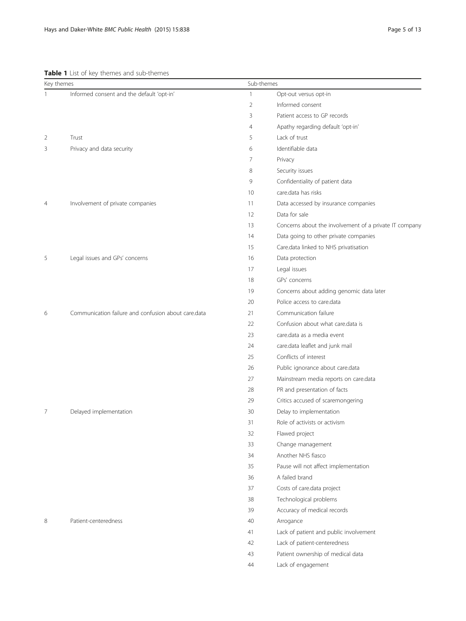## <span id="page-4-0"></span>Table 1 List of key themes and sub-themes

Key themes

|   | Key themes                                          |                                                                                                                                                                                                                                                                                                                                                                                                                                                                                                                                                                                                                                                                                                                                                                                                                                                                                                                                                                                                         |                                                        |
|---|-----------------------------------------------------|---------------------------------------------------------------------------------------------------------------------------------------------------------------------------------------------------------------------------------------------------------------------------------------------------------------------------------------------------------------------------------------------------------------------------------------------------------------------------------------------------------------------------------------------------------------------------------------------------------------------------------------------------------------------------------------------------------------------------------------------------------------------------------------------------------------------------------------------------------------------------------------------------------------------------------------------------------------------------------------------------------|--------------------------------------------------------|
| 1 | Informed consent and the default 'opt-in'           | 1                                                                                                                                                                                                                                                                                                                                                                                                                                                                                                                                                                                                                                                                                                                                                                                                                                                                                                                                                                                                       | Opt-out versus opt-in                                  |
|   |                                                     | $\overline{2}$                                                                                                                                                                                                                                                                                                                                                                                                                                                                                                                                                                                                                                                                                                                                                                                                                                                                                                                                                                                          | Informed consent                                       |
|   |                                                     | 3                                                                                                                                                                                                                                                                                                                                                                                                                                                                                                                                                                                                                                                                                                                                                                                                                                                                                                                                                                                                       | Patient access to GP records                           |
|   |                                                     | 4                                                                                                                                                                                                                                                                                                                                                                                                                                                                                                                                                                                                                                                                                                                                                                                                                                                                                                                                                                                                       | Apathy regarding default 'opt-in'                      |
| 2 | Trust                                               | 5                                                                                                                                                                                                                                                                                                                                                                                                                                                                                                                                                                                                                                                                                                                                                                                                                                                                                                                                                                                                       | Lack of trust                                          |
| 3 | Privacy and data security                           | 6                                                                                                                                                                                                                                                                                                                                                                                                                                                                                                                                                                                                                                                                                                                                                                                                                                                                                                                                                                                                       | Identifiable data                                      |
|   |                                                     | 7                                                                                                                                                                                                                                                                                                                                                                                                                                                                                                                                                                                                                                                                                                                                                                                                                                                                                                                                                                                                       | Privacy                                                |
|   |                                                     | 8                                                                                                                                                                                                                                                                                                                                                                                                                                                                                                                                                                                                                                                                                                                                                                                                                                                                                                                                                                                                       | Security issues                                        |
|   |                                                     | 9                                                                                                                                                                                                                                                                                                                                                                                                                                                                                                                                                                                                                                                                                                                                                                                                                                                                                                                                                                                                       | Confidentiality of patient data                        |
|   |                                                     | 10                                                                                                                                                                                                                                                                                                                                                                                                                                                                                                                                                                                                                                                                                                                                                                                                                                                                                                                                                                                                      | care.data has risks                                    |
| 4 | Involvement of private companies                    | 11                                                                                                                                                                                                                                                                                                                                                                                                                                                                                                                                                                                                                                                                                                                                                                                                                                                                                                                                                                                                      | Data accessed by insurance companies                   |
|   |                                                     | 12                                                                                                                                                                                                                                                                                                                                                                                                                                                                                                                                                                                                                                                                                                                                                                                                                                                                                                                                                                                                      | Data for sale                                          |
|   |                                                     | 13                                                                                                                                                                                                                                                                                                                                                                                                                                                                                                                                                                                                                                                                                                                                                                                                                                                                                                                                                                                                      | Concerns about the involvement of a private IT company |
|   |                                                     | 14                                                                                                                                                                                                                                                                                                                                                                                                                                                                                                                                                                                                                                                                                                                                                                                                                                                                                                                                                                                                      | Data going to other private companies                  |
|   |                                                     | 15                                                                                                                                                                                                                                                                                                                                                                                                                                                                                                                                                                                                                                                                                                                                                                                                                                                                                                                                                                                                      | Care.data linked to NHS privatisation                  |
| 5 | Legal issues and GPs' concerns                      | 16                                                                                                                                                                                                                                                                                                                                                                                                                                                                                                                                                                                                                                                                                                                                                                                                                                                                                                                                                                                                      | Data protection                                        |
|   |                                                     | Sub-themes<br>Legal issues<br>17<br>GPs' concerns<br>18<br>Concerns about adding genomic data later<br>19<br>Police access to care.data<br>20<br>Communication failure<br>21<br>Confusion about what care.data is<br>22<br>23<br>care.data as a media event<br>care.data leaflet and junk mail<br>24<br>Conflicts of interest<br>25<br>Public ignorance about care.data<br>26<br>27<br>Mainstream media reports on care.data<br>PR and presentation of facts<br>28<br>Critics accused of scaremongering<br>29<br>30<br>Delay to implementation<br>31<br>Role of activists or activism<br>32<br>Flawed project<br>Change management<br>33<br>Another NHS fiasco<br>34<br>35<br>Pause will not affect implementation<br>A failed brand<br>36<br>Costs of care.data project<br>37<br>38<br>Technological problems<br>39<br>Accuracy of medical records<br>40<br>Arrogance<br>Lack of patient and public involvement<br>41<br>Lack of patient-centeredness<br>42<br>Patient ownership of medical data<br>43 |                                                        |
|   |                                                     |                                                                                                                                                                                                                                                                                                                                                                                                                                                                                                                                                                                                                                                                                                                                                                                                                                                                                                                                                                                                         |                                                        |
|   |                                                     |                                                                                                                                                                                                                                                                                                                                                                                                                                                                                                                                                                                                                                                                                                                                                                                                                                                                                                                                                                                                         |                                                        |
|   |                                                     |                                                                                                                                                                                                                                                                                                                                                                                                                                                                                                                                                                                                                                                                                                                                                                                                                                                                                                                                                                                                         |                                                        |
| 6 | Communication failure and confusion about care.data |                                                                                                                                                                                                                                                                                                                                                                                                                                                                                                                                                                                                                                                                                                                                                                                                                                                                                                                                                                                                         |                                                        |
|   |                                                     |                                                                                                                                                                                                                                                                                                                                                                                                                                                                                                                                                                                                                                                                                                                                                                                                                                                                                                                                                                                                         |                                                        |
|   |                                                     |                                                                                                                                                                                                                                                                                                                                                                                                                                                                                                                                                                                                                                                                                                                                                                                                                                                                                                                                                                                                         |                                                        |
|   |                                                     |                                                                                                                                                                                                                                                                                                                                                                                                                                                                                                                                                                                                                                                                                                                                                                                                                                                                                                                                                                                                         |                                                        |
|   |                                                     |                                                                                                                                                                                                                                                                                                                                                                                                                                                                                                                                                                                                                                                                                                                                                                                                                                                                                                                                                                                                         |                                                        |
|   |                                                     |                                                                                                                                                                                                                                                                                                                                                                                                                                                                                                                                                                                                                                                                                                                                                                                                                                                                                                                                                                                                         |                                                        |
|   |                                                     |                                                                                                                                                                                                                                                                                                                                                                                                                                                                                                                                                                                                                                                                                                                                                                                                                                                                                                                                                                                                         |                                                        |
|   |                                                     |                                                                                                                                                                                                                                                                                                                                                                                                                                                                                                                                                                                                                                                                                                                                                                                                                                                                                                                                                                                                         |                                                        |
|   |                                                     |                                                                                                                                                                                                                                                                                                                                                                                                                                                                                                                                                                                                                                                                                                                                                                                                                                                                                                                                                                                                         |                                                        |
|   | Delayed implementation                              |                                                                                                                                                                                                                                                                                                                                                                                                                                                                                                                                                                                                                                                                                                                                                                                                                                                                                                                                                                                                         |                                                        |
|   |                                                     |                                                                                                                                                                                                                                                                                                                                                                                                                                                                                                                                                                                                                                                                                                                                                                                                                                                                                                                                                                                                         |                                                        |
|   |                                                     |                                                                                                                                                                                                                                                                                                                                                                                                                                                                                                                                                                                                                                                                                                                                                                                                                                                                                                                                                                                                         |                                                        |
|   |                                                     |                                                                                                                                                                                                                                                                                                                                                                                                                                                                                                                                                                                                                                                                                                                                                                                                                                                                                                                                                                                                         |                                                        |
|   |                                                     |                                                                                                                                                                                                                                                                                                                                                                                                                                                                                                                                                                                                                                                                                                                                                                                                                                                                                                                                                                                                         |                                                        |
|   |                                                     |                                                                                                                                                                                                                                                                                                                                                                                                                                                                                                                                                                                                                                                                                                                                                                                                                                                                                                                                                                                                         |                                                        |
|   |                                                     |                                                                                                                                                                                                                                                                                                                                                                                                                                                                                                                                                                                                                                                                                                                                                                                                                                                                                                                                                                                                         |                                                        |
|   |                                                     |                                                                                                                                                                                                                                                                                                                                                                                                                                                                                                                                                                                                                                                                                                                                                                                                                                                                                                                                                                                                         |                                                        |
|   |                                                     |                                                                                                                                                                                                                                                                                                                                                                                                                                                                                                                                                                                                                                                                                                                                                                                                                                                                                                                                                                                                         |                                                        |
|   |                                                     |                                                                                                                                                                                                                                                                                                                                                                                                                                                                                                                                                                                                                                                                                                                                                                                                                                                                                                                                                                                                         |                                                        |
| 8 | Patient-centeredness                                |                                                                                                                                                                                                                                                                                                                                                                                                                                                                                                                                                                                                                                                                                                                                                                                                                                                                                                                                                                                                         |                                                        |
|   |                                                     |                                                                                                                                                                                                                                                                                                                                                                                                                                                                                                                                                                                                                                                                                                                                                                                                                                                                                                                                                                                                         |                                                        |
|   |                                                     |                                                                                                                                                                                                                                                                                                                                                                                                                                                                                                                                                                                                                                                                                                                                                                                                                                                                                                                                                                                                         |                                                        |
|   |                                                     |                                                                                                                                                                                                                                                                                                                                                                                                                                                                                                                                                                                                                                                                                                                                                                                                                                                                                                                                                                                                         |                                                        |
|   |                                                     | 44                                                                                                                                                                                                                                                                                                                                                                                                                                                                                                                                                                                                                                                                                                                                                                                                                                                                                                                                                                                                      | Lack of engagement                                     |
|   |                                                     |                                                                                                                                                                                                                                                                                                                                                                                                                                                                                                                                                                                                                                                                                                                                                                                                                                                                                                                                                                                                         |                                                        |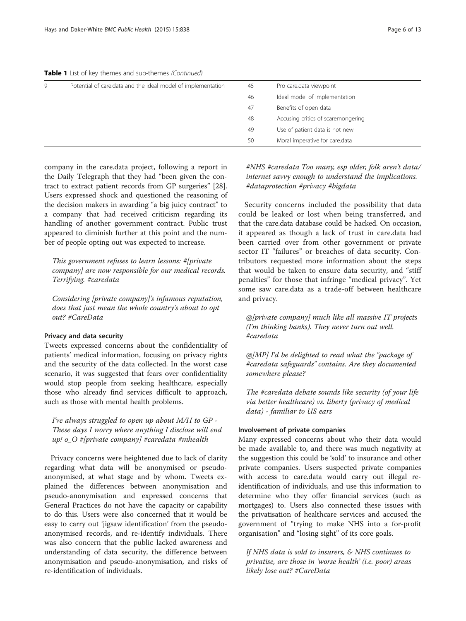| 9 | Potential of care.data and the ideal model of implementation | 45 | Pro care.data viewpoint            |  |
|---|--------------------------------------------------------------|----|------------------------------------|--|
|   |                                                              | 46 | Ideal model of implementation      |  |
|   |                                                              | 47 | Benefits of open data              |  |
|   |                                                              | 48 | Accusing critics of scaremongering |  |
|   |                                                              | 49 | Use of patient data is not new     |  |
|   |                                                              | 50 | Moral imperative for care.data     |  |

Table 1 List of key themes and sub-themes (Continued)

company in the care.data project, following a report in the Daily Telegraph that they had "been given the contract to extract patient records from GP surgeries" [\[28](#page-11-0)]. Users expressed shock and questioned the reasoning of the decision makers in awarding "a big juicy contract" to a company that had received criticism regarding its handling of another government contract. Public trust appeared to diminish further at this point and the number of people opting out was expected to increase.

This government refuses to learn lessons: #[private company] are now responsible for our medical records. Terrifying. #caredata

Considering [private company]'s infamous reputation, does that just mean the whole country's about to opt out? #CareData

## Privacy and data security

Tweets expressed concerns about the confidentiality of patients' medical information, focusing on privacy rights and the security of the data collected. In the worst case scenario, it was suggested that fears over confidentiality would stop people from seeking healthcare, especially those who already find services difficult to approach, such as those with mental health problems.

## I've always struggled to open up about M/H to GP - These days I worry where anything I disclose will end up! o\_O #[private company] #caredata #mhealth

Privacy concerns were heightened due to lack of clarity regarding what data will be anonymised or pseudoanonymised, at what stage and by whom. Tweets explained the differences between anonymisation and pseudo-anonymisation and expressed concerns that General Practices do not have the capacity or capability to do this. Users were also concerned that it would be easy to carry out 'jigsaw identification' from the pseudoanonymised records, and re-identify individuals. There was also concern that the public lacked awareness and understanding of data security, the difference between anonymisation and pseudo-anonymisation, and risks of re-identification of individuals.

## #NHS #caredata Too many, esp older, folk aren't data/ internet savvy enough to understand the implications. #dataprotection #privacy #bigdata

Security concerns included the possibility that data could be leaked or lost when being transferred, and that the care.data database could be hacked. On occasion, it appeared as though a lack of trust in care.data had been carried over from other government or private sector IT "failures" or breaches of data security. Contributors requested more information about the steps that would be taken to ensure data security, and "stiff penalties" for those that infringe "medical privacy". Yet some saw care.data as a trade-off between healthcare and privacy.

@[private company] much like all massive IT projects (I'm thinking banks). They never turn out well. #caredata

@[MP] I'd be delighted to read what the "package of #caredata safeguards" contains. Are they documented somewhere please?

The #caredata debate sounds like security (of your life via better healthcare) vs. liberty (privacy of medical data) - familiar to US ears

## Involvement of private companies

Many expressed concerns about who their data would be made available to, and there was much negativity at the suggestion this could be 'sold' to insurance and other private companies. Users suspected private companies with access to care.data would carry out illegal reidentification of individuals, and use this information to determine who they offer financial services (such as mortgages) to. Users also connected these issues with the privatisation of healthcare services and accused the government of "trying to make NHS into a for-profit organisation" and "losing sight" of its core goals.

If NHS data is sold to insurers, & NHS continues to privatise, are those in 'worse health' (i.e. poor) areas likely lose out? #CareData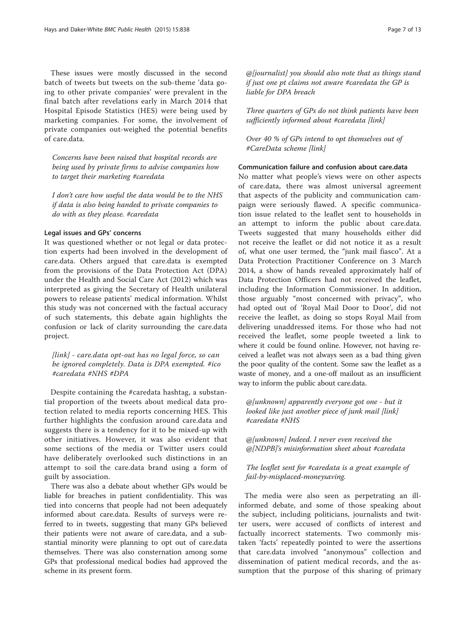These issues were mostly discussed in the second batch of tweets but tweets on the sub-theme 'data going to other private companies' were prevalent in the final batch after revelations early in March 2014 that Hospital Episode Statistics (HES) were being used by marketing companies. For some, the involvement of private companies out-weighed the potential benefits of care.data.

Concerns have been raised that hospital records are being used by private firms to advise companies how to target their marketing #caredata

I don't care how useful the data would be to the NHS if data is also being handed to private companies to do with as they please. #caredata

#### Legal issues and GPs' concerns

It was questioned whether or not legal or data protection experts had been involved in the development of care.data. Others argued that care.data is exempted from the provisions of the Data Protection Act (DPA) under the Health and Social Care Act (2012) which was interpreted as giving the Secretary of Health unilateral powers to release patients' medical information. Whilst this study was not concerned with the factual accuracy of such statements, this debate again highlights the confusion or lack of clarity surrounding the care.data project.

[link] - care.data opt-out has no legal force, so can be ignored completely. Data is DPA exempted. #ico #caredata #NHS #DPA

Despite containing the #caredata hashtag, a substantial proportion of the tweets about medical data protection related to media reports concerning HES. This further highlights the confusion around care.data and suggests there is a tendency for it to be mixed-up with other initiatives. However, it was also evident that some sections of the media or Twitter users could have deliberately overlooked such distinctions in an attempt to soil the care.data brand using a form of guilt by association.

There was also a debate about whether GPs would be liable for breaches in patient confidentiality. This was tied into concerns that people had not been adequately informed about care.data. Results of surveys were referred to in tweets, suggesting that many GPs believed their patients were not aware of care.data, and a substantial minority were planning to opt out of care.data themselves. There was also consternation among some GPs that professional medical bodies had approved the scheme in its present form.

@[journalist] you should also note that as things stand if just one pt claims not aware #caredata the GP is liable for DPA breach

Three quarters of GPs do not think patients have been sufficiently informed about #caredata [link]

Over 40 % of GPs intend to opt themselves out of #CareData scheme [link]

## Communication failure and confusion about care.data

No matter what people's views were on other aspects of care.data, there was almost universal agreement that aspects of the publicity and communication campaign were seriously flawed. A specific communication issue related to the leaflet sent to households in an attempt to inform the public about care.data. Tweets suggested that many households either did not receive the leaflet or did not notice it as a result of, what one user termed, the "junk mail fiasco". At a Data Protection Practitioner Conference on 3 March 2014, a show of hands revealed approximately half of Data Protection Officers had not received the leaflet, including the Information Commissioner. In addition, those arguably "most concerned with privacy", who had opted out of 'Royal Mail Door to Door', did not receive the leaflet, as doing so stops Royal Mail from delivering unaddressed items. For those who had not received the leaflet, some people tweeted a link to where it could be found online. However, not having received a leaflet was not always seen as a bad thing given the poor quality of the content. Some saw the leaflet as a waste of money, and a one-off mailout as an insufficient way to inform the public about care.data.

@[unknown] apparently everyone got one - but it looked like just another piece of junk mail [link] #caredata #NHS

@[unknown] Indeed. I never even received the @[NDPB]'s misinformation sheet about #caredata

## The leaflet sent for #caredata is a great example of fail-by-misplaced-moneysaving.

The media were also seen as perpetrating an illinformed debate, and some of those speaking about the subject, including politicians, journalists and twitter users, were accused of conflicts of interest and factually incorrect statements. Two commonly mistaken 'facts' repeatedly pointed to were the assertions that care.data involved "anonymous" collection and dissemination of patient medical records, and the assumption that the purpose of this sharing of primary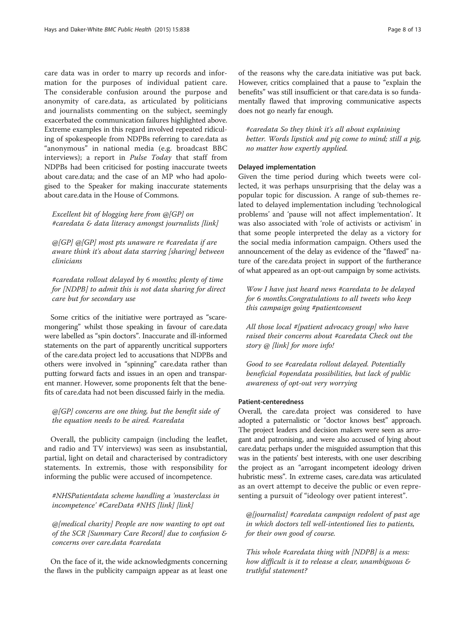care data was in order to marry up records and information for the purposes of individual patient care. The considerable confusion around the purpose and anonymity of care.data, as articulated by politicians and journalists commenting on the subject, seemingly exacerbated the communication failures highlighted above. Extreme examples in this regard involved repeated ridiculing of spokespeople from NDPBs referring to care.data as "anonymous" in national media (e.g. broadcast BBC interviews); a report in Pulse Today that staff from NDPBs had been criticised for posting inaccurate tweets about care.data; and the case of an MP who had apologised to the Speaker for making inaccurate statements about care.data in the House of Commons.

Excellent bit of blogging here from @[GP] on #caredata & data literacy amongst journalists [link]

@[GP] @[GP] most pts unaware re #caredata if are aware think it's about data starring [sharing] between clinicians

#caredata rollout delayed by 6 months; plenty of time for [NDPB] to admit this is not data sharing for direct care but for secondary use

Some critics of the initiative were portrayed as "scaremongering" whilst those speaking in favour of care.data were labelled as "spin doctors". Inaccurate and ill-informed statements on the part of apparently uncritical supporters of the care.data project led to accusations that NDPBs and others were involved in "spinning" care.data rather than putting forward facts and issues in an open and transparent manner. However, some proponents felt that the benefits of care.data had not been discussed fairly in the media.

## $\omega$ [GP] concerns are one thing, but the benefit side of the equation needs to be aired. #caredata

Overall, the publicity campaign (including the leaflet, and radio and TV interviews) was seen as insubstantial, partial, light on detail and characterised by contradictory statements. In extremis, those with responsibility for informing the public were accused of incompetence.

## #NHSPatientdata scheme handling a 'masterclass in incompetence' #CareData #NHS [link] [link]

@[medical charity] People are now wanting to opt out of the SCR [Summary Care Record] due to confusion & concerns over care.data #caredata

On the face of it, the wide acknowledgments concerning the flaws in the publicity campaign appear as at least one

of the reasons why the care.data initiative was put back. However, critics complained that a pause to "explain the benefits" was still insufficient or that care.data is so fundamentally flawed that improving communicative aspects does not go nearly far enough.

#caredata So they think it's all about explaining better. Words lipstick and pig come to mind; still a pig, no matter how expertly applied.

#### Delayed implementation

Given the time period during which tweets were collected, it was perhaps unsurprising that the delay was a popular topic for discussion. A range of sub-themes related to delayed implementation including 'technological problems' and 'pause will not affect implementation'. It was also associated with 'role of activists or activism' in that some people interpreted the delay as a victory for the social media information campaign. Others used the announcement of the delay as evidence of the "flawed" nature of the care.data project in support of the furtherance of what appeared as an opt-out campaign by some activists.

Wow I have just heard news #caredata to be delayed for 6 months.Congratulations to all tweets who keep this campaign going #patientconsent

All those local #[patient advocacy group] who have raised their concerns about #caredata Check out the story @ [link] for more info!

Good to see #caredata rollout delayed. Potentially beneficial #opendata possibilities, but lack of public awareness of opt-out very worrying

## Patient-centeredness

Overall, the care.data project was considered to have adopted a paternalistic or "doctor knows best" approach. The project leaders and decision makers were seen as arrogant and patronising, and were also accused of lying about care.data; perhaps under the misguided assumption that this was in the patients' best interests, with one user describing the project as an "arrogant incompetent ideology driven hubristic mess". In extreme cases, care.data was articulated as an overt attempt to deceive the public or even representing a pursuit of "ideology over patient interest".

@[journalist] #caredata campaign redolent of past age in which doctors tell well-intentioned lies to patients, for their own good of course.

This whole #caredata thing with [NDPB] is a mess: how difficult is it to release a clear, unambiguous & truthful statement?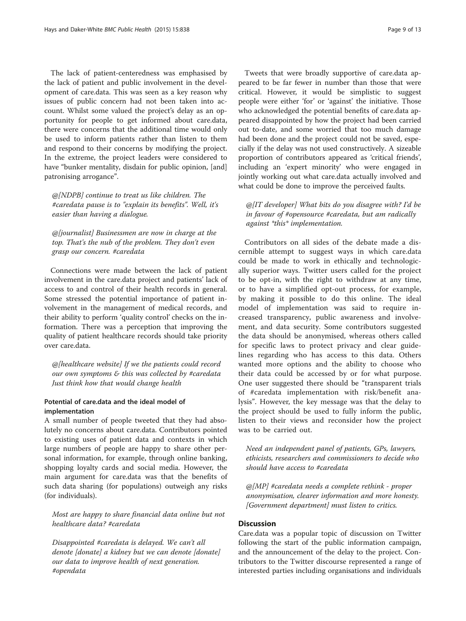The lack of patient-centeredness was emphasised by the lack of patient and public involvement in the development of care.data. This was seen as a key reason why issues of public concern had not been taken into account. Whilst some valued the project's delay as an opportunity for people to get informed about care.data, there were concerns that the additional time would only be used to inform patients rather than listen to them and respond to their concerns by modifying the project. In the extreme, the project leaders were considered to have "bunker mentality, disdain for public opinion, [and] patronising arrogance".

@[NDPB] continue to treat us like children. The #caredata pause is to "explain its benefits". Well, it's easier than having a dialogue.

@[journalist] Businessmen are now in charge at the top. That's the nub of the problem. They don't even grasp our concern. #caredata

Connections were made between the lack of patient involvement in the care.data project and patients' lack of access to and control of their health records in general. Some stressed the potential importance of patient involvement in the management of medical records, and their ability to perform 'quality control' checks on the information. There was a perception that improving the quality of patient healthcare records should take priority over care.data.

@[healthcare website] If we the patients could record our own symptoms & this was collected by #caredata Just think how that would change health

## Potential of care.data and the ideal model of implementation

A small number of people tweeted that they had absolutely no concerns about care.data. Contributors pointed to existing uses of patient data and contexts in which large numbers of people are happy to share other personal information, for example, through online banking, shopping loyalty cards and social media. However, the main argument for care.data was that the benefits of such data sharing (for populations) outweigh any risks (for individuals).

Most are happy to share financial data online but not healthcare data? #caredata

Disappointed #caredata is delayed. We can't all denote [donate] a kidney but we can denote [donate] our data to improve health of next generation. #opendata

Tweets that were broadly supportive of care.data appeared to be far fewer in number than those that were critical. However, it would be simplistic to suggest people were either 'for' or 'against' the initiative. Those who acknowledged the potential benefits of care.data appeared disappointed by how the project had been carried out to-date, and some worried that too much damage had been done and the project could not be saved, especially if the delay was not used constructively. A sizeable proportion of contributors appeared as 'critical friends', including an 'expert minority' who were engaged in jointly working out what care.data actually involved and what could be done to improve the perceived faults.

@[IT developer] What bits do you disagree with? I'd be in favour of #opensource #caredata, but am radically against \*this\* implementation.

Contributors on all sides of the debate made a discernible attempt to suggest ways in which care.data could be made to work in ethically and technologically superior ways. Twitter users called for the project to be opt-in, with the right to withdraw at any time, or to have a simplified opt-out process, for example, by making it possible to do this online. The ideal model of implementation was said to require increased transparency, public awareness and involvement, and data security. Some contributors suggested the data should be anonymised, whereas others called for specific laws to protect privacy and clear guidelines regarding who has access to this data. Others wanted more options and the ability to choose who their data could be accessed by or for what purpose. One user suggested there should be "transparent trials of #caredata implementation with risk/benefit analysis". However, the key message was that the delay to the project should be used to fully inform the public, listen to their views and reconsider how the project was to be carried out.

Need an independent panel of patients, GPs, lawyers, ethicists, researchers and commissioners to decide who should have access to #caredata

@[MP] #caredata needs a complete rethink - proper anonymisation, clearer information and more honesty. [Government department] must listen to critics.

#### **Discussion**

Care.data was a popular topic of discussion on Twitter following the start of the public information campaign, and the announcement of the delay to the project. Contributors to the Twitter discourse represented a range of interested parties including organisations and individuals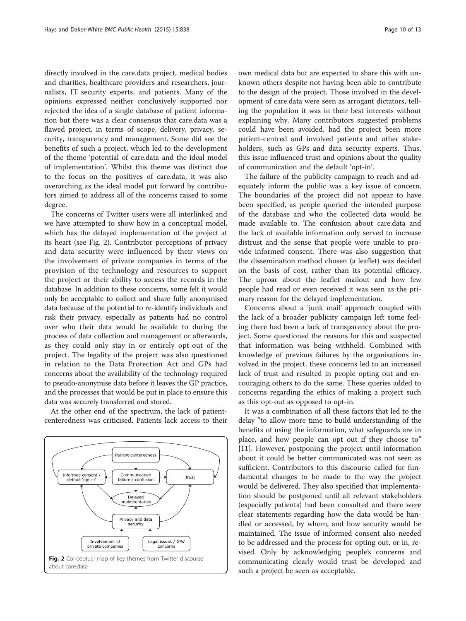directly involved in the care.data project, medical bodies and charities, healthcare providers and researchers, journalists, IT security experts, and patients. Many of the opinions expressed neither conclusively supported nor rejected the idea of a single database of patient information but there was a clear consensus that care.data was a flawed project, in terms of scope, delivery, privacy, security, transparency and management. Some did see the benefits of such a project, which led to the development of the theme 'potential of care.data and the ideal model of implementation'. Whilst this theme was distinct due to the focus on the positives of care.data, it was also overarching as the ideal model put forward by contributors aimed to address all of the concerns raised to some degree.

The concerns of Twitter users were all interlinked and we have attempted to show how in a conceptual model, which has the delayed implementation of the project at its heart (see Fig. 2). Contributor perceptions of privacy and data security were influenced by their views on the involvement of private companies in terms of the provision of the technology and resources to support the project or their ability to access the records in the database. In addition to these concerns, some felt it would only be acceptable to collect and share fully anonymised data because of the potential to re-identify individuals and risk their privacy, especially as patients had no control over who their data would be available to during the process of data collection and management or afterwards, as they could only stay in or entirely opt-out of the project. The legality of the project was also questioned in relation to the Data Protection Act and GPs had concerns about the availability of the technology required to pseudo-anonymise data before it leaves the GP practice, and the processes that would be put in place to ensure this data was securely transferred and stored.

At the other end of the spectrum, the lack of patientcenteredness was criticised. Patients lack access to their



own medical data but are expected to share this with unknown others despite not having been able to contribute to the design of the project. Those involved in the development of care.data were seen as arrogant dictators, telling the population it was in their best interests without explaining why. Many contributors suggested problems could have been avoided, had the project been more patient-centred and involved patients and other stakeholders, such as GPs and data security experts. Thus, this issue influenced trust and opinions about the quality of communication and the default 'opt-in'.

The failure of the publicity campaign to reach and adequately inform the public was a key issue of concern. The boundaries of the project did not appear to have been specified, as people queried the intended purpose of the database and who the collected data would be made available to. The confusion about care.data and the lack of available information only served to increase distrust and the sense that people were unable to provide informed consent. There was also suggestion that the dissemination method chosen (a leaflet) was decided on the basis of cost, rather than its potential efficacy. The uproar about the leaflet mailout and how few people had read or even received it was seen as the primary reason for the delayed implementation.

Concerns about a 'junk mail' approach coupled with the lack of a broader publicity campaign left some feeling there had been a lack of transparency about the project. Some questioned the reasons for this and suspected that information was being withheld. Combined with knowledge of previous failures by the organisations involved in the project, these concerns led to an increased lack of trust and resulted in people opting out and encouraging others to do the same. These queries added to concerns regarding the ethics of making a project such as this opt-out as opposed to opt-in.

It was a combination of all these factors that led to the delay "to allow more time to build understanding of the benefits of using the information, what safeguards are in place, and how people can opt out if they choose to" [[11\]](#page-11-0). However, postponing the project until information about it could be better communicated was not seen as sufficient. Contributors to this discourse called for fundamental changes to be made to the way the project would be delivered. They also specified that implementation should be postponed until all relevant stakeholders (especially patients) had been consulted and there were clear statements regarding how the data would be handled or accessed, by whom, and how security would be maintained. The issue of informed consent also needed to be addressed and the process for opting out, or in, revised. Only by acknowledging people's concerns and communicating clearly would trust be developed and such a project be seen as acceptable.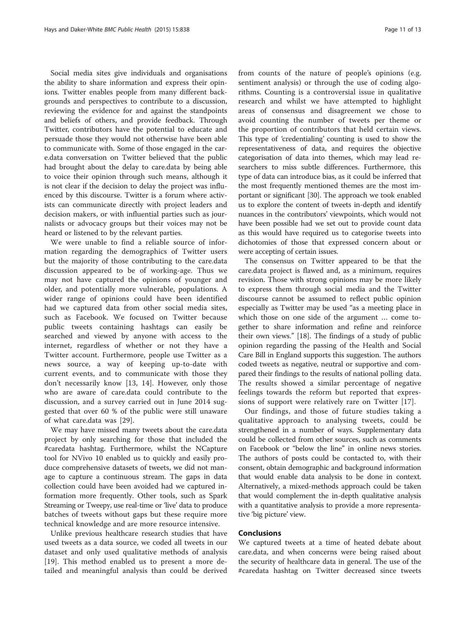Social media sites give individuals and organisations the ability to share information and express their opinions. Twitter enables people from many different backgrounds and perspectives to contribute to a discussion, reviewing the evidence for and against the standpoints and beliefs of others, and provide feedback. Through Twitter, contributors have the potential to educate and persuade those they would not otherwise have been able to communicate with. Some of those engaged in the care.data conversation on Twitter believed that the public had brought about the delay to care.data by being able to voice their opinion through such means, although it is not clear if the decision to delay the project was influenced by this discourse. Twitter is a forum where activists can communicate directly with project leaders and decision makers, or with influential parties such as journalists or advocacy groups but their voices may not be heard or listened to by the relevant parties.

We were unable to find a reliable source of information regarding the demographics of Twitter users but the majority of those contributing to the care.data discussion appeared to be of working-age. Thus we may not have captured the opinions of younger and older, and potentially more vulnerable, populations. A wider range of opinions could have been identified had we captured data from other social media sites, such as Facebook. We focused on Twitter because public tweets containing hashtags can easily be searched and viewed by anyone with access to the internet, regardless of whether or not they have a Twitter account. Furthermore, people use Twitter as a news source, a way of keeping up-to-date with current events, and to communicate with those they don't necessarily know [[13, 14](#page-11-0)]. However, only those who are aware of care.data could contribute to the discussion, and a survey carried out in June 2014 suggested that over 60 % of the public were still unaware of what care.data was [\[29](#page-11-0)].

We may have missed many tweets about the care.data project by only searching for those that included the #caredata hashtag. Furthermore, whilst the NCapture tool for NVivo 10 enabled us to quickly and easily produce comprehensive datasets of tweets, we did not manage to capture a continuous stream. The gaps in data collection could have been avoided had we captured information more frequently. Other tools, such as Spark Streaming or Tweepy, use real-time or 'live' data to produce batches of tweets without gaps but these require more technical knowledge and are more resource intensive.

Unlike previous healthcare research studies that have used tweets as a data source, we coded all tweets in our dataset and only used qualitative methods of analysis [[19\]](#page-11-0). This method enabled us to present a more detailed and meaningful analysis than could be derived

from counts of the nature of people's opinions (e.g. sentiment analysis) or through the use of coding algorithms. Counting is a controversial issue in qualitative research and whilst we have attempted to highlight areas of consensus and disagreement we chose to avoid counting the number of tweets per theme or the proportion of contributors that held certain views. This type of 'credentialing' counting is used to show the representativeness of data, and requires the objective categorisation of data into themes, which may lead researchers to miss subtle differences. Furthermore, this type of data can introduce bias, as it could be inferred that the most frequently mentioned themes are the most important or significant [[30](#page-11-0)]. The approach we took enabled us to explore the content of tweets in-depth and identify nuances in the contributors' viewpoints, which would not have been possible had we set out to provide count data as this would have required us to categorise tweets into dichotomies of those that expressed concern about or were accepting of certain issues.

The consensus on Twitter appeared to be that the care.data project is flawed and, as a minimum, requires revision. Those with strong opinions may be more likely to express them through social media and the Twitter discourse cannot be assumed to reflect public opinion especially as Twitter may be used "as a meeting place in which those on one side of the argument … come together to share information and refine and reinforce their own views." [[18\]](#page-11-0). The findings of a study of public opinion regarding the passing of the Health and Social Care Bill in England supports this suggestion. The authors coded tweets as negative, neutral or supportive and compared their findings to the results of national polling data. The results showed a similar percentage of negative feelings towards the reform but reported that expressions of support were relatively rare on Twitter [\[17](#page-11-0)].

Our findings, and those of future studies taking a qualitative approach to analysing tweets, could be strengthened in a number of ways. Supplementary data could be collected from other sources, such as comments on Facebook or "below the line" in online news stories. The authors of posts could be contacted to, with their consent, obtain demographic and background information that would enable data analysis to be done in context. Alternatively, a mixed-methods approach could be taken that would complement the in-depth qualitative analysis with a quantitative analysis to provide a more representative 'big picture' view.

## Conclusions

We captured tweets at a time of heated debate about care.data, and when concerns were being raised about the security of healthcare data in general. The use of the #caredata hashtag on Twitter decreased since tweets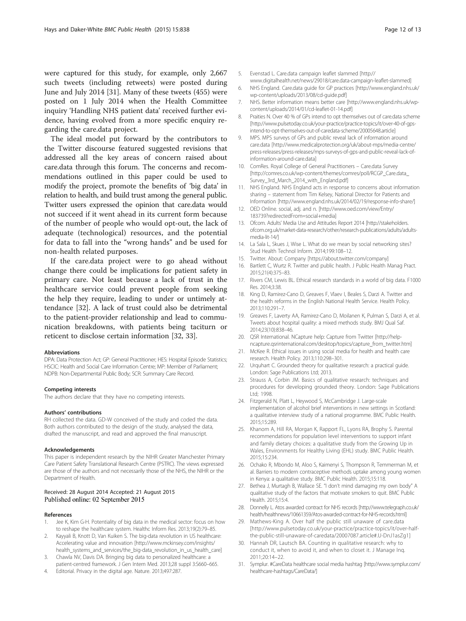<span id="page-11-0"></span>were captured for this study, for example, only 2,667 such tweets (including retweets) were posted during June and July 2014 [31]. Many of these tweets (455) were posted on 1 July 2014 when the Health Committee inquiry 'Handling NHS patient data' received further evidence, having evolved from a more specific enquiry regarding the care.data project.

The ideal model put forward by the contributors to the Twitter discourse featured suggested revisions that addressed all the key areas of concern raised about care.data through this forum. The concerns and recommendations outlined in this paper could be used to modify the project, promote the benefits of 'big data' in relation to health, and build trust among the general public. Twitter users expressed the opinion that care.data would not succeed if it went ahead in its current form because of the number of people who would opt-out, the lack of adequate (technological) resources, and the potential for data to fall into the "wrong hands" and be used for non-health related purposes.

If the care.data project were to go ahead without change there could be implications for patient safety in primary care. Not least because a lack of trust in the healthcare service could prevent people from seeking the help they require, leading to under or untimely attendance [\[32](#page-12-0)]. A lack of trust could also be detrimental to the patient-provider relationship and lead to communication breakdowns, with patients being taciturn or reticent to disclose certain information [\[32](#page-12-0), [33](#page-12-0)].

#### Abbreviations

DPA: Data Protection Act; GP: General Practitioner; HES: Hospital Episode Statistics; HSCIC: Health and Social Care Information Centre; MP: Member of Parliament; NDPB: Non-Departmental Public Body; SCR: Summary Care Record.

#### Competing interests

The authors declare that they have no competing interests.

#### Authors' contributions

RH collected the data. GD-W conceived of the study and coded the data. Both authors contributed to the design of the study, analysed the data, drafted the manuscript, and read and approved the final manuscript.

#### Acknowledgements

This paper is independent research by the NIHR Greater Manchester Primary Care Patient Safety Translational Research Centre (PSTRC). The views expressed are those of the authors and not necessarily those of the NHS, the NIHR or the Department of Health.

#### Received: 28 August 2014 Accepted: 21 August 2015 Published online: 02 September 2015

#### References

- 1. Jee K, Kim G-H. Potentiality of big data in the medical sector: focus on how to reshape the healthcare system. Healthc Inform Res. 2013;19(2):79–85.
- Kayyali B, Knott D, Van Kuiken S. The big-data revolution in US healthcare: Accelerating value and innovation [[http://www.mckinsey.com/insights/](http://www.mckinsey.com/insights/health_systems_and_services/the_big-data_revolution_in_us_health_care) [health\\_systems\\_and\\_services/the\\_big-data\\_revolution\\_in\\_us\\_health\\_care\]](http://www.mckinsey.com/insights/health_systems_and_services/the_big-data_revolution_in_us_health_care)
- 3. Chawla NV, Davis DA. Bringing big data to personalized healthcare: a patient-centred framework. J Gen Intern Med. 2013;28 suppl 3:S660–665.
- 4. Editorial. Privacy in the digital age. Nature. 2013;497:287.
- 5. Evenstad L. Care.data campaign leaflet slammed [[http://](http://www.digitalhealth.net/news/29018/care.data-campaign-leaflet-slammed)
- [www.digitalhealth.net/news/29018/care.data-campaign-leaflet-slammed](http://www.digitalhealth.net/news/29018/care.data-campaign-leaflet-slammed)] 6. NHS England. Care.data guide for GP practices [\[http://www.england.nhs.uk/](http://www.england.nhs.uk/wp-content/uploads/2013/08/cd-guide.pdf) [wp-content/uploads/2013/08/cd-guide.pdf\]](http://www.england.nhs.uk/wp-content/uploads/2013/08/cd-guide.pdf)
- 7. NHS. Better information means better care [\[http://www.england.nhs.uk/wp](http://www.england.nhs.uk/wp-content/uploads/2014/01/cd-leaflet-01-14.pdf)[content/uploads/2014/01/cd-leaflet-01-14.pdf](http://www.england.nhs.uk/wp-content/uploads/2014/01/cd-leaflet-01-14.pdf)]
- 8. Praities N. Over 40 % of GPs intend to opt themselves out of care.data scheme [[http://www.pulsetoday.co.uk/your-practice/practice-topics/it/over-40-of-gps](http://www.pulsetoday.co.uk/your-practice/practice-topics/it/over-40-of-gps-intend-to-opt-themselves-out-of-caredata-scheme/20005648.article)[intend-to-opt-themselves-out-of-caredata-scheme/20005648.article\]](http://www.pulsetoday.co.uk/your-practice/practice-topics/it/over-40-of-gps-intend-to-opt-themselves-out-of-caredata-scheme/20005648.article)
- 9. MPS. MPS surveys of GPs and public reveal lack of information around care.data [\[http://www.medicalprotection.org/uk/about-mps/media-centre/](http://www.medicalprotection.org/uk/about-mps/media-centre/press-releases/press-releases/mps-surveys-of-gps-and-public-reveal-lack-of-information-around-care.data) [press-releases/press-releases/mps-surveys-of-gps-and-public-reveal-lack-of](http://www.medicalprotection.org/uk/about-mps/media-centre/press-releases/press-releases/mps-surveys-of-gps-and-public-reveal-lack-of-information-around-care.data)[information-around-care.data\]](http://www.medicalprotection.org/uk/about-mps/media-centre/press-releases/press-releases/mps-surveys-of-gps-and-public-reveal-lack-of-information-around-care.data)
- 10. ComRes. Royal College of General Practitioners Care.data Survey [[http://comres.co.uk/wp-content/themes/comres/poll/RCGP\\_Care.data\\_](http://comres.co.uk/wp-content/themes/comres/poll/RCGP_Care.data_Survey_3rd_March_2014_with_England.pdf) [Survey\\_3rd\\_March\\_2014\\_with\\_England.pdf](http://comres.co.uk/wp-content/themes/comres/poll/RCGP_Care.data_Survey_3rd_March_2014_with_England.pdf)]
- 11. NHS England. NHS England acts in response to concerns about information sharing – statement from Tim Kelsey, National Director for Patients and Information [<http://www.england.nhs.uk/2014/02/19/response-info-share/>]
- 12. OED Online. social, adj. and n. [\[http://www.oed.com/view/Entry/](http://www.oed.com/view/Entry/183739?redirectedFrom=social+media) [183739?redirectedFrom=social+media](http://www.oed.com/view/Entry/183739?redirectedFrom=social+media)]
- 13. Ofcom. Adults' Media Use and Attitudes Report 2014 [[http://stakeholders.](http://stakeholders.ofcom.org.uk/market-data-research/other/research-publications/adults/adults-media-lit-14/) [ofcom.org.uk/market-data-research/other/research-publications/adults/adults](http://stakeholders.ofcom.org.uk/market-data-research/other/research-publications/adults/adults-media-lit-14/)[media-lit-14/\]](http://stakeholders.ofcom.org.uk/market-data-research/other/research-publications/adults/adults-media-lit-14/)
- 14. La Sala L, Skues J, Wise L. What do we mean by social networking sites? Stud Health Technol Inform. 2014;199:108–12.
- 15. Twitter. About: Company [\[https://about.twitter.com/company](https://about.twitter.com/company)]
- 16. Bartlett C, Wurtz R. Twitter and public health. J Public Health Manag Pract. 2015;21(4):375–83.
- 17. Rivers CM, Lewis BL. Ethical research standards in a world of big data. F1000 Res. 2014;3:38.
- 18. King D, Ramirez-Cano D, Greaves F, Vlaev I, Beales S, Darzi A. Twitter and the health reforms in the English National Health Service. Health Policy. 2013;110:291–7.
- 19. Greaves F, Laverty AA, Ramirez-Cano D, Moilanen K, Pulman S, Darzi A, et al. Tweets about hospital quality: a mixed methods study. BMJ Qual Saf. 2014;23(10):838–46.
- 20. QSR International. NCapture help: Capture from Twitter [\[http://help](http://help-ncapture.qsrinternational.com/desktop/topics/capture_from_twitter.htm)ncapture.gsrinternational.com/desktop/topics/capture\_from\_twitter.html
- 21. McKee R. Ethical issues in using social media for health and health care research. Health Policy. 2013;110:298–301.
- 22. Urquhart C. Grounded theory for qualitative research: a practical guide. London: Sage Publications Ltd; 2013.
- 23. Strauss A, Corbin JM. Basics of qualitative research: techniques and procedures for developing grounded theory. London: Sage Publications Ltd; 1998.
- 24. Fitzgerald N, Platt L, Heywood S, McCambridge J. Large-scale implementation of alcohol brief interventions in new settings in Scotland: a qualitative interview study of a national programme. BMC Public Health. 2015;15:289.
- 25. Khanom A, Hill RA, Morgan K, Rapport FL, Lyons RA, Brophy S. Parental recommendations for population level interventions to support infant and family dietary choices: a qualitative study from the Growing Up in Wales, Environments for Healthy Living (EHL) study. BMC Public Health. 2015;15:234.
- 26. Ochako R, Mbondo M, Aloo S, Kaimenyi S, Thompson R, Temmerman M, et al. Barriers to modern contraceptive methods uptake among young women in Kenya: a qualitative study. BMC Public Health. 2015;15:118.
- 27. Bethea J, Murtagh B, Wallace SE. "I don't mind damaging my own body" A qualitative study of the factors that motivate smokers to quit. BMC Public Health. 2015;15:4.
- 28. Donnelly L. Atos awarded contract for NHS records [\[http://www.telegraph.co.uk/](http://www.telegraph.co.uk/health/healthnews/10661359/Atos-awarded-contract-for-NHS-records.html) [health/healthnews/10661359/Atos-awarded-contract-for-NHS-records.html](http://www.telegraph.co.uk/health/healthnews/10661359/Atos-awarded-contract-for-NHS-records.html)]
- 29. Mathews-King A. Over half the public still unaware of care.data [[http://www.pulsetoday.co.uk/your-practice/practice-topics/it/over-half](http://www.pulsetoday.co.uk/your-practice/practice-topics/it/over-half-the-public-still-unaware-of-caredata/20007087.article#.U-DnJ1asZg1)[the-public-still-unaware-of-caredata/20007087.article#.U-DnJ1asZg1\]](http://www.pulsetoday.co.uk/your-practice/practice-topics/it/over-half-the-public-still-unaware-of-caredata/20007087.article#.U-DnJ1asZg1)
- 30. Hannah DR, Lautsch BA. Counting in qualitative research: why to conduct it, when to avoid it, and when to closet it. J Manage Inq. 2011;20:14–22.
- 31. Symplur. #CareData healthcare social media hashtag [[http://www.symplur.com/](http://www.symplur.com/healthcare-hashtags/CareData/) [healthcare-hashtags/CareData/\]](http://www.symplur.com/healthcare-hashtags/CareData/)